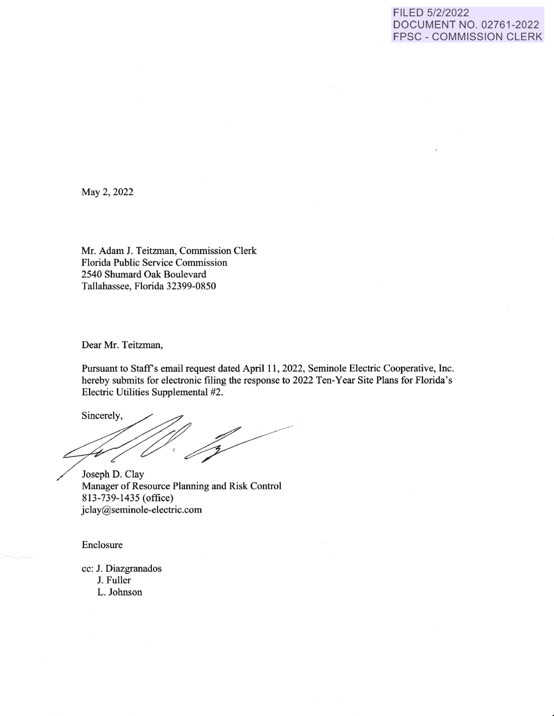## FILED 5/2/2022 DOCUMENT NO. 02761-2022 FPSC - COMMISSION CLERK

May 2, 2022

Mr. Adam J. Teitzman, Commission Clerk Florida Public Service Commission 2540 Shumard Oak Boulevard Tallahassee, Florida 32399-0850

Dear Mr. Teitzman,

Pursuant to Staff's email request dated April 11, 2022, Seminole Electric Cooperative, Inc. hereby submits for electronic filing the response to 2022 Ten-Year Site Plans for Florida's Electric Utilities Supplemental #2.

Sincerely,

Joseph D. Clay Manager of Resource Planning and Risk Control 813-739-1435 (office) jclay@seminole-electric.com

Enclosure

cc: J. Diazgranados J. Fuller

L. Johnson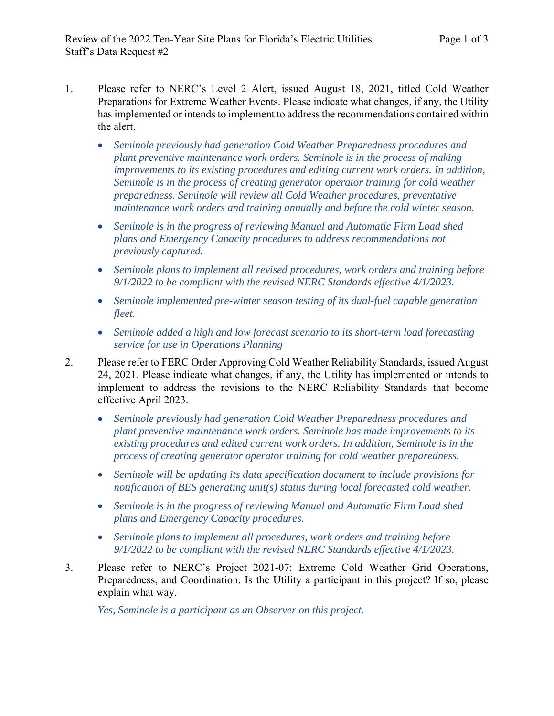- 1. Please refer to NERC's Level 2 Alert, issued August 18, 2021, titled Cold Weather Preparations for Extreme Weather Events. Please indicate what changes, if any, the Utility has implemented or intends to implement to address the recommendations contained within the alert.
	- *Seminole previously had generation Cold Weather Preparedness procedures and plant preventive maintenance work orders. Seminole is in the process of making improvements to its existing procedures and editing current work orders. In addition, Seminole is in the process of creating generator operator training for cold weather preparedness. Seminole will review all Cold Weather procedures, preventative maintenance work orders and training annually and before the cold winter season.*
	- *Seminole is in the progress of reviewing Manual and Automatic Firm Load shed plans and Emergency Capacity procedures to address recommendations not previously captured.*
	- *Seminole plans to implement all revised procedures, work orders and training before 9/1/2022 to be compliant with the revised NERC Standards effective 4/1/2023.*
	- *Seminole implemented pre-winter season testing of its dual-fuel capable generation fleet.*
	- *Seminole added a high and low forecast scenario to its short-term load forecasting service for use in Operations Planning*
- 2. Please refer to FERC Order Approving Cold Weather Reliability Standards, issued August 24, 2021. Please indicate what changes, if any, the Utility has implemented or intends to implement to address the revisions to the NERC Reliability Standards that become effective April 2023.
	- *Seminole previously had generation Cold Weather Preparedness procedures and plant preventive maintenance work orders. Seminole has made improvements to its existing procedures and edited current work orders. In addition, Seminole is in the process of creating generator operator training for cold weather preparedness.*
	- *Seminole will be updating its data specification document to include provisions for notification of BES generating unit(s) status during local forecasted cold weather.*
	- *Seminole is in the progress of reviewing Manual and Automatic Firm Load shed plans and Emergency Capacity procedures.*
	- *Seminole plans to implement all procedures, work orders and training before 9/1/2022 to be compliant with the revised NERC Standards effective 4/1/2023.*
- 3. Please refer to NERC's Project 2021-07: Extreme Cold Weather Grid Operations, Preparedness, and Coordination. Is the Utility a participant in this project? If so, please explain what way.

*Yes, Seminole is a participant as an Observer on this project.*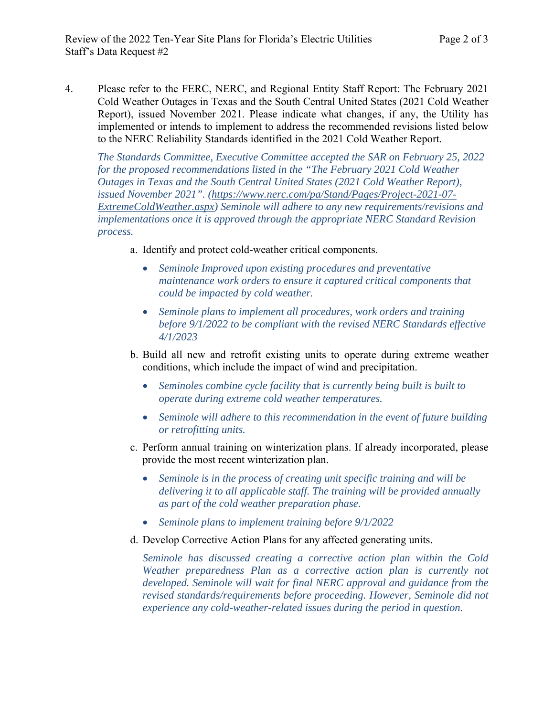4. Please refer to the FERC, NERC, and Regional Entity Staff Report: The February 2021 Cold Weather Outages in Texas and the South Central United States (2021 Cold Weather Report), issued November 2021. Please indicate what changes, if any, the Utility has implemented or intends to implement to address the recommended revisions listed below to the NERC Reliability Standards identified in the 2021 Cold Weather Report.

*The Standards Committee, Executive Committee accepted the SAR on February 25, 2022 for the proposed recommendations listed in the "The February 2021 Cold Weather Outages in Texas and the South Central United States (2021 Cold Weather Report), issued November 2021". (https://www.nerc.com/pa/Stand/Pages/Project-2021-07- ExtremeColdWeather.aspx) Seminole will adhere to any new requirements/revisions and implementations once it is approved through the appropriate NERC Standard Revision process.* 

- a. Identify and protect cold-weather critical components.
	- *Seminole Improved upon existing procedures and preventative maintenance work orders to ensure it captured critical components that could be impacted by cold weather.*
	- *Seminole plans to implement all procedures, work orders and training before 9/1/2022 to be compliant with the revised NERC Standards effective 4/1/2023*
- b. Build all new and retrofit existing units to operate during extreme weather conditions, which include the impact of wind and precipitation.
	- *Seminoles combine cycle facility that is currently being built is built to operate during extreme cold weather temperatures.*
	- *Seminole will adhere to this recommendation in the event of future building or retrofitting units.*
- c. Perform annual training on winterization plans. If already incorporated, please provide the most recent winterization plan.
	- *Seminole is in the process of creating unit specific training and will be delivering it to all applicable staff. The training will be provided annually as part of the cold weather preparation phase.*
	- *Seminole plans to implement training before 9/1/2022*
- d. Develop Corrective Action Plans for any affected generating units.

*Seminole has discussed creating a corrective action plan within the Cold Weather preparedness Plan as a corrective action plan is currently not developed. Seminole will wait for final NERC approval and guidance from the revised standards/requirements before proceeding. However, Seminole did not experience any cold-weather-related issues during the period in question.*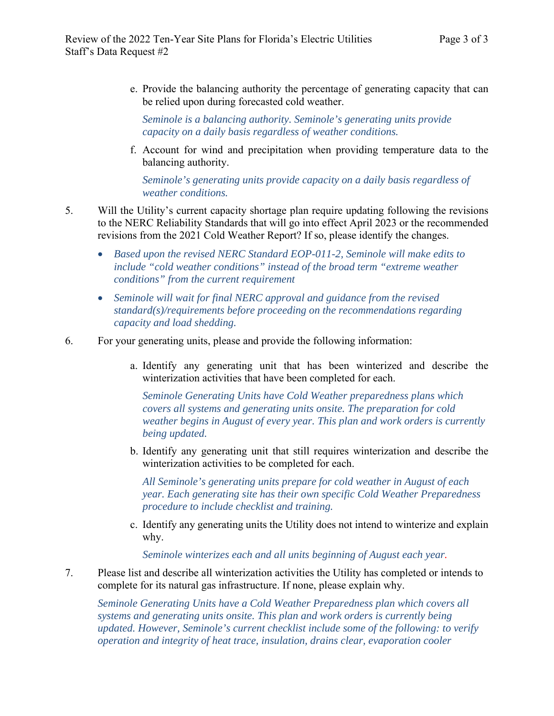e. Provide the balancing authority the percentage of generating capacity that can be relied upon during forecasted cold weather.

*Seminole is a balancing authority. Seminole's generating units provide capacity on a daily basis regardless of weather conditions.* 

f. Account for wind and precipitation when providing temperature data to the balancing authority.

*Seminole's generating units provide capacity on a daily basis regardless of weather conditions.* 

- 5. Will the Utility's current capacity shortage plan require updating following the revisions to the NERC Reliability Standards that will go into effect April 2023 or the recommended revisions from the 2021 Cold Weather Report? If so, please identify the changes.
	- *Based upon the revised NERC Standard EOP-011-2, Seminole will make edits to include "cold weather conditions" instead of the broad term "extreme weather conditions" from the current requirement*
	- *Seminole will wait for final NERC approval and guidance from the revised standard(s)/requirements before proceeding on the recommendations regarding capacity and load shedding.*
- 6. For your generating units, please and provide the following information:
	- a. Identify any generating unit that has been winterized and describe the winterization activities that have been completed for each.

*Seminole Generating Units have Cold Weather preparedness plans which covers all systems and generating units onsite. The preparation for cold weather begins in August of every year. This plan and work orders is currently being updated.* 

b. Identify any generating unit that still requires winterization and describe the winterization activities to be completed for each.

*All Seminole's generating units prepare for cold weather in August of each year. Each generating site has their own specific Cold Weather Preparedness procedure to include checklist and training.* 

c. Identify any generating units the Utility does not intend to winterize and explain why.

*Seminole winterizes each and all units beginning of August each year.* 

7. Please list and describe all winterization activities the Utility has completed or intends to complete for its natural gas infrastructure. If none, please explain why.

*Seminole Generating Units have a Cold Weather Preparedness plan which covers all systems and generating units onsite. This plan and work orders is currently being updated. However, Seminole's current checklist include some of the following: to verify operation and integrity of heat trace, insulation, drains clear, evaporation cooler*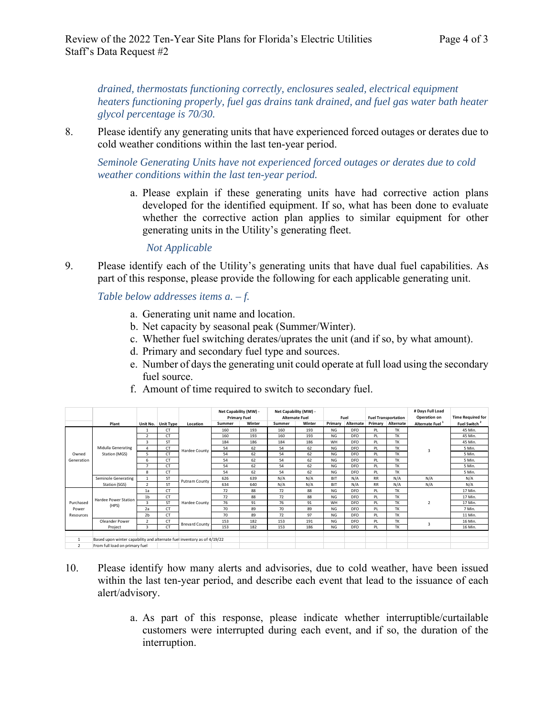*drained, thermostats functioning correctly, enclosures sealed, electrical equipment heaters functioning properly, fuel gas drains tank drained, and fuel gas water bath heater glycol percentage is 70/30.*

8. Please identify any generating units that have experienced forced outages or derates due to cold weather conditions within the last ten-year period.

*Seminole Generating Units have not experienced forced outages or derates due to cold weather conditions within the last ten-year period.* 

a. Please explain if these generating units have had corrective action plans developed for the identified equipment. If so, what has been done to evaluate whether the corrective action plan applies to similar equipment for other generating units in the Utility's generating fleet.

*Not Applicable* 

9. Please identify each of the Utility's generating units that have dual fuel capabilities. As part of this response, please provide the following for each applicable generating unit.

*Table below addresses items a. – f.* 

- a. Generating unit name and location.
- b. Net capacity by seasonal peak (Summer/Winter).
- c. Whether fuel switching derates/uprates the unit (and if so, by what amount).
- d. Primary and secondary fuel type and sources.
- e. Number of days the generating unit could operate at full load using the secondary fuel source.

|                                 |                                                                         |                |                    |                       | Net Capability (MW) - |        | Net Capability (MW) - |        |            |                 |           |                            | # Days Full Load            |                          |
|---------------------------------|-------------------------------------------------------------------------|----------------|--------------------|-----------------------|-----------------------|--------|-----------------------|--------|------------|-----------------|-----------|----------------------------|-----------------------------|--------------------------|
|                                 |                                                                         |                |                    |                       | <b>Primary Fuel</b>   |        | <b>Alternate Fuel</b> |        |            | Fuel            |           | <b>Fuel Transportation</b> | Operation on                | <b>Time Required for</b> |
|                                 | Plant                                                                   |                | Unit No. Unit Type | Location              | Summer                | Winter | Summer                | Winter | Primary    | Alternate       |           | Primary Alternate          | Alternate Fuel <sup>1</sup> | Fuel Switch <sup>2</sup> |
| Owned<br>Generation             | Midulla Generating<br>Station (MGS)                                     | $\mathbf{1}$   | <b>CT</b>          | Hardee County         | 160                   | 193    | 160                   | 193    | NG         | <b>DFO</b>      | PL        | TK                         | $\overline{\mathbf{3}}$     | 45 Min.                  |
|                                 |                                                                         | $\overline{2}$ | <b>CT</b>          |                       | 160                   | 193    | 160                   | 193    | NG         | D <sub>FO</sub> | PL        | TK                         |                             | 45 Min.                  |
|                                 |                                                                         | 3              | <b>ST</b>          |                       | 184                   | 186    | 184                   | 186    | WH         | D <sub>FO</sub> | PL        | <b>TK</b>                  |                             | 45 Min.                  |
|                                 |                                                                         | 4              | <b>CT</b>          |                       | 54                    | 62     | 54                    | 62     | NG         | D <sub>FO</sub> | PL        | TK                         |                             | 5 Min.                   |
|                                 |                                                                         | 5              | <b>CT</b>          |                       | 54                    | 62     | 54                    | 62     | NG         | D <sub>FO</sub> | PL        | <b>TK</b>                  |                             | 5 Min.                   |
|                                 |                                                                         | 6              | <b>CT</b>          |                       | 54                    | 62     | 54                    | 62     | NG         | <b>DFO</b>      | PL        | TK                         |                             | 5 Min.                   |
|                                 |                                                                         | $\overline{z}$ | <b>CT</b>          |                       | 54                    | 62     | 54                    | 62     | <b>NG</b>  | <b>DFO</b>      | PL        | <b>TK</b>                  |                             | 5 Min.                   |
|                                 |                                                                         | 8              | <b>CT</b>          |                       | 54                    | 62     | 54                    | 62     | NG         | <b>DFO</b>      | PL        | <b>TK</b>                  |                             | 5 Min.                   |
|                                 | Seminole Generating                                                     | $\mathbf{1}$   | <b>ST</b>          |                       | 626                   | 639    | N/A                   | N/A    | <b>BIT</b> | N/A             | <b>RR</b> | N/A                        | N/A                         | N/A                      |
|                                 | Station (SGS)                                                           | $\overline{2}$ | <b>ST</b>          | Putnam County         | 634                   | 640    | N/A                   | N/A    | <b>BIT</b> | N/A             | <b>RR</b> | N/A                        | N/A                         | N/A                      |
| Purchased<br>Power<br>Resources | Hardee Power Station<br>(HPS)                                           | 1a             | <b>CT</b>          | Hardee County         | 72                    | 88     | 72                    | 88     | NG         | <b>DFO</b>      | PL        | TK                         | $\mathcal{P}$               | 17 Min.                  |
|                                 |                                                                         | 1 <sub>b</sub> | <b>CT</b>          |                       | 72                    | 88     | 72                    | 88     | NG         | <b>DFO</b>      | PL        | TK                         |                             | 17 Min.                  |
|                                 |                                                                         | 3              | <b>ST</b>          |                       | 76                    | 91     | 76                    | 91     | WH         | D <sub>FO</sub> | PL        | <b>TK</b>                  |                             | 17 Min.                  |
|                                 |                                                                         | 2a             | <b>CT</b>          |                       | 70                    | 89     | 70                    | 89     | NG         | <b>DFO</b>      | PL        | <b>TK</b>                  |                             | 7 Min.                   |
|                                 |                                                                         | 2 <sub>b</sub> | <b>CT</b>          |                       | 70                    | 89     | 72                    | 97     | NG         | <b>DFO</b>      | PL        | <b>TK</b>                  |                             | 11 Min.                  |
|                                 | Oleander Power                                                          | $\overline{2}$ | <b>CT</b>          | <b>Brevard County</b> | 153                   | 182    | 153                   | 191    | NG         | D <sub>FO</sub> | PL        | TK                         | $\overline{3}$              | 16 Min.                  |
|                                 | Project                                                                 | 3              | <b>CT</b>          |                       | 153                   | 182    | 153                   | 186    | NG         | <b>DFO</b>      | PL        | TK                         |                             | 16 Min.                  |
|                                 |                                                                         |                |                    |                       |                       |        |                       |        |            |                 |           |                            |                             |                          |
|                                 | Based upon winter capability and alternate fuel inventory as of 4/19/22 |                |                    |                       |                       |        |                       |        |            |                 |           |                            |                             |                          |
| $\overline{2}$                  | From full load on primary fuel                                          |                |                    |                       |                       |        |                       |        |            |                 |           |                            |                             |                          |

f. Amount of time required to switch to secondary fuel.

- 10. Please identify how many alerts and advisories, due to cold weather, have been issued within the last ten-year period, and describe each event that lead to the issuance of each alert/advisory.
	- a. As part of this response, please indicate whether interruptible/curtailable customers were interrupted during each event, and if so, the duration of the interruption.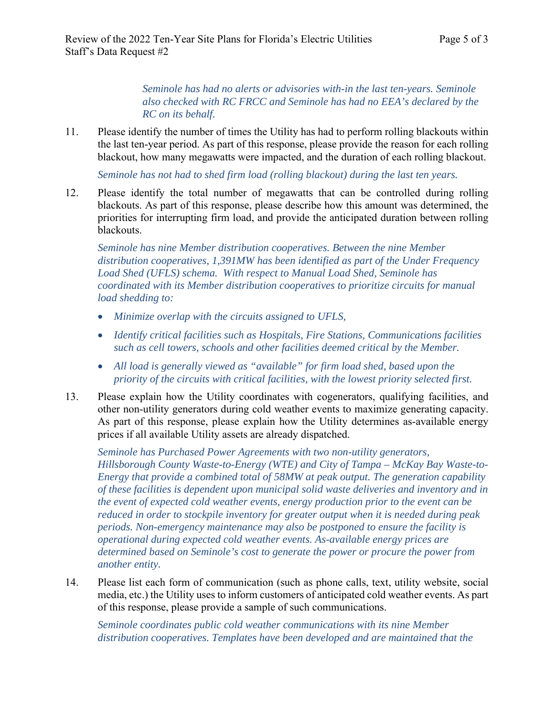*Seminole has had no alerts or advisories with-in the last ten-years. Seminole also checked with RC FRCC and Seminole has had no EEA's declared by the RC on its behalf.* 

11. Please identify the number of times the Utility has had to perform rolling blackouts within the last ten-year period. As part of this response, please provide the reason for each rolling blackout, how many megawatts were impacted, and the duration of each rolling blackout.

*Seminole has not had to shed firm load (rolling blackout) during the last ten years.* 

12. Please identify the total number of megawatts that can be controlled during rolling blackouts. As part of this response, please describe how this amount was determined, the priorities for interrupting firm load, and provide the anticipated duration between rolling blackouts.

*Seminole has nine Member distribution cooperatives. Between the nine Member distribution cooperatives, 1,391MW has been identified as part of the Under Frequency Load Shed (UFLS) schema. With respect to Manual Load Shed, Seminole has coordinated with its Member distribution cooperatives to prioritize circuits for manual load shedding to:* 

- *Minimize overlap with the circuits assigned to UFLS,*
- *Identify critical facilities such as Hospitals, Fire Stations, Communications facilities such as cell towers, schools and other facilities deemed critical by the Member.*
- *All load is generally viewed as "available" for firm load shed, based upon the priority of the circuits with critical facilities, with the lowest priority selected first.*
- 13. Please explain how the Utility coordinates with cogenerators, qualifying facilities, and other non-utility generators during cold weather events to maximize generating capacity. As part of this response, please explain how the Utility determines as-available energy prices if all available Utility assets are already dispatched.

*Seminole has Purchased Power Agreements with two non-utility generators, Hillsborough County Waste-to-Energy (WTE) and City of Tampa – McKay Bay Waste-to-Energy that provide a combined total of 58MW at peak output. The generation capability of these facilities is dependent upon municipal solid waste deliveries and inventory and in the event of expected cold weather events, energy production prior to the event can be reduced in order to stockpile inventory for greater output when it is needed during peak periods. Non-emergency maintenance may also be postponed to ensure the facility is operational during expected cold weather events. As-available energy prices are determined based on Seminole's cost to generate the power or procure the power from another entity.* 

14. Please list each form of communication (such as phone calls, text, utility website, social media, etc.) the Utility uses to inform customers of anticipated cold weather events. As part of this response, please provide a sample of such communications.

*Seminole coordinates public cold weather communications with its nine Member distribution cooperatives. Templates have been developed and are maintained that the*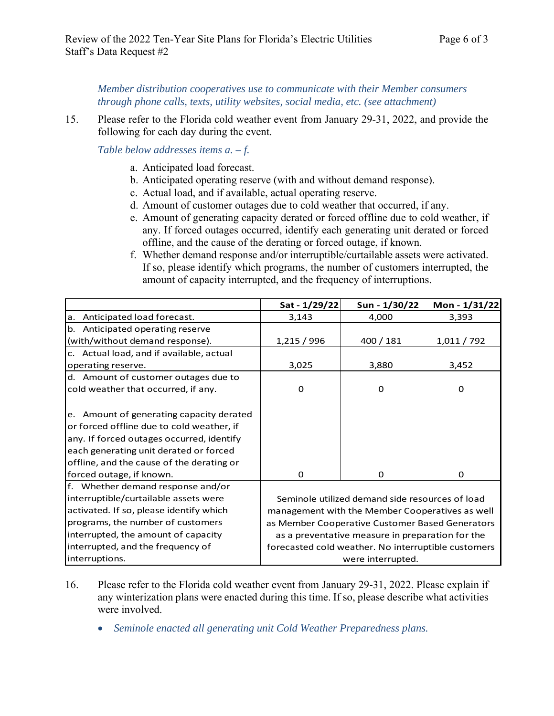*Member distribution cooperatives use to communicate with their Member consumers through phone calls, texts, utility websites, social media, etc. (see attachment)* 

15. Please refer to the Florida cold weather event from January 29-31, 2022, and provide the following for each day during the event.

*Table below addresses items a. – f.* 

- a. Anticipated load forecast.
- b. Anticipated operating reserve (with and without demand response).
- c. Actual load, and if available, actual operating reserve.
- d. Amount of customer outages due to cold weather that occurred, if any.
- e. Amount of generating capacity derated or forced offline due to cold weather, if any. If forced outages occurred, identify each generating unit derated or forced offline, and the cause of the derating or forced outage, if known.
- f. Whether demand response and/or interruptible/curtailable assets were activated. If so, please identify which programs, the number of customers interrupted, the amount of capacity interrupted, and the frequency of interruptions.

|                                           | Sat - 1/29/22                                       | Sun - 1/30/22 | Mon - 1/31/22 |  |  |  |
|-------------------------------------------|-----------------------------------------------------|---------------|---------------|--|--|--|
| a. Anticipated load forecast.             | 3,143                                               | 4,000         | 3,393         |  |  |  |
| b. Anticipated operating reserve          |                                                     |               |               |  |  |  |
| (with/without demand response).           | 1,215 / 996                                         | 400 / 181     | 1,011 / 792   |  |  |  |
| c. Actual load, and if available, actual  |                                                     |               |               |  |  |  |
| operating reserve.                        | 3,025                                               | 3,880         | 3,452         |  |  |  |
| d. Amount of customer outages due to      |                                                     |               |               |  |  |  |
| cold weather that occurred, if any.       | 0                                                   | 0             | 0             |  |  |  |
|                                           |                                                     |               |               |  |  |  |
| e. Amount of generating capacity derated  |                                                     |               |               |  |  |  |
| or forced offline due to cold weather, if |                                                     |               |               |  |  |  |
| any. If forced outages occurred, identify |                                                     |               |               |  |  |  |
| each generating unit derated or forced    |                                                     |               |               |  |  |  |
| offline, and the cause of the derating or |                                                     |               |               |  |  |  |
| forced outage, if known.                  | 0                                                   | 0             | $\Omega$      |  |  |  |
| f. Whether demand response and/or         |                                                     |               |               |  |  |  |
| interruptible/curtailable assets were     | Seminole utilized demand side resources of load     |               |               |  |  |  |
| activated. If so, please identify which   | management with the Member Cooperatives as well     |               |               |  |  |  |
| programs, the number of customers         | as Member Cooperative Customer Based Generators     |               |               |  |  |  |
| interrupted, the amount of capacity       | as a preventative measure in preparation for the    |               |               |  |  |  |
| interrupted, and the frequency of         | forecasted cold weather. No interruptible customers |               |               |  |  |  |
| interruptions.                            | were interrupted.                                   |               |               |  |  |  |

- 16. Please refer to the Florida cold weather event from January 29-31, 2022. Please explain if any winterization plans were enacted during this time. If so, please describe what activities were involved.
	- *Seminole enacted all generating unit Cold Weather Preparedness plans.*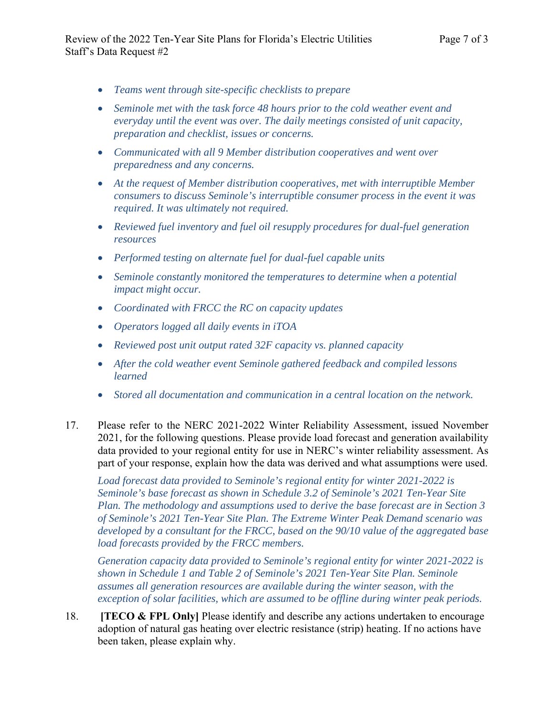- *Teams went through site-specific checklists to prepare*
- *Seminole met with the task force 48 hours prior to the cold weather event and everyday until the event was over. The daily meetings consisted of unit capacity, preparation and checklist, issues or concerns.*
- *Communicated with all 9 Member distribution cooperatives and went over preparedness and any concerns.*
- *At the request of Member distribution cooperatives, met with interruptible Member consumers to discuss Seminole's interruptible consumer process in the event it was required. It was ultimately not required.*
- *Reviewed fuel inventory and fuel oil resupply procedures for dual-fuel generation resources*
- *Performed testing on alternate fuel for dual-fuel capable units*
- *Seminole constantly monitored the temperatures to determine when a potential impact might occur.*
- *Coordinated with FRCC the RC on capacity updates*
- *Operators logged all daily events in iTOA*
- *Reviewed post unit output rated 32F capacity vs. planned capacity*
- *After the cold weather event Seminole gathered feedback and compiled lessons learned*
- *Stored all documentation and communication in a central location on the network.*
- 17. Please refer to the NERC 2021-2022 Winter Reliability Assessment, issued November 2021, for the following questions. Please provide load forecast and generation availability data provided to your regional entity for use in NERC's winter reliability assessment. As part of your response, explain how the data was derived and what assumptions were used.

*Load forecast data provided to Seminole's regional entity for winter 2021-2022 is Seminole's base forecast as shown in Schedule 3.2 of Seminole's 2021 Ten-Year Site Plan. The methodology and assumptions used to derive the base forecast are in Section 3 of Seminole's 2021 Ten-Year Site Plan. The Extreme Winter Peak Demand scenario was developed by a consultant for the FRCC, based on the 90/10 value of the aggregated base load forecasts provided by the FRCC members.*

*Generation capacity data provided to Seminole's regional entity for winter 2021-2022 is shown in Schedule 1 and Table 2 of Seminole's 2021 Ten-Year Site Plan. Seminole assumes all generation resources are available during the winter season, with the exception of solar facilities, which are assumed to be offline during winter peak periods.* 

18. **ITECO & FPL Only** Please identify and describe any actions undertaken to encourage adoption of natural gas heating over electric resistance (strip) heating. If no actions have been taken, please explain why.